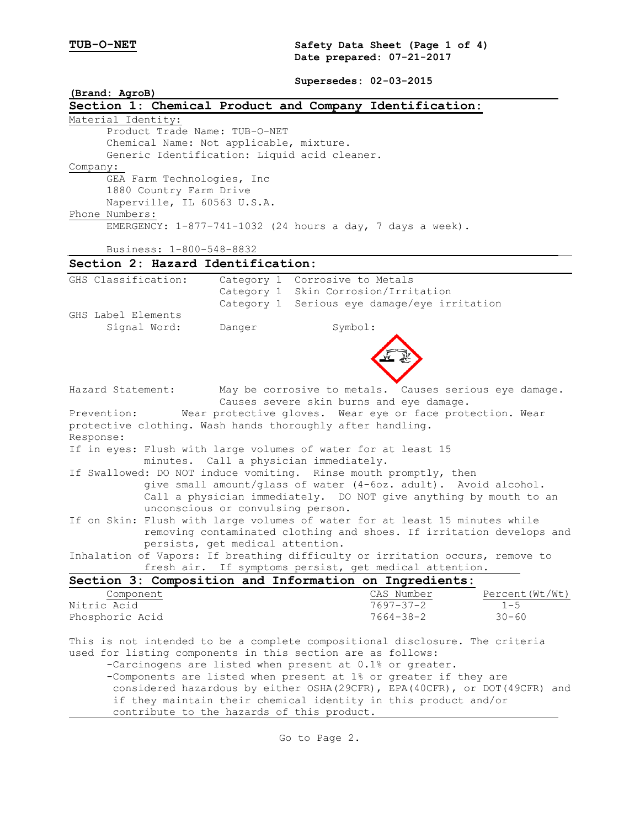**TUB-O-NET Safety Data Sheet (Page 1 of 4) Date prepared: 07-21-2017**

**Supersedes: 02-03-2015**

| (Brand: AgroB)                                                                                                                                      |                                        | Supersedes: 02-03-2015         |                                                        |                                                                              |
|-----------------------------------------------------------------------------------------------------------------------------------------------------|----------------------------------------|--------------------------------|--------------------------------------------------------|------------------------------------------------------------------------------|
| Section 1: Chemical Product and Company Identification:                                                                                             |                                        |                                |                                                        |                                                                              |
| Material Identity:<br>Product Trade Name: TUB-O-NET                                                                                                 |                                        |                                |                                                        |                                                                              |
| Chemical Name: Not applicable, mixture.                                                                                                             |                                        |                                |                                                        |                                                                              |
| Generic Identification: Liquid acid cleaner.                                                                                                        |                                        |                                |                                                        |                                                                              |
| Company:                                                                                                                                            |                                        |                                |                                                        |                                                                              |
| GEA Farm Technologies, Inc<br>1880 Country Farm Drive<br>Naperville, IL 60563 U.S.A.                                                                |                                        |                                |                                                        |                                                                              |
| Phone Numbers:                                                                                                                                      |                                        |                                |                                                        |                                                                              |
| EMERGENCY: 1-877-741-1032 (24 hours a day, 7 days a week).                                                                                          |                                        |                                |                                                        |                                                                              |
| Business: 1-800-548-8832                                                                                                                            |                                        |                                |                                                        |                                                                              |
| Section 2: Hazard Identification:                                                                                                                   |                                        |                                |                                                        |                                                                              |
| GHS Classification:                                                                                                                                 |                                        | Category 1 Corrosive to Metals |                                                        |                                                                              |
|                                                                                                                                                     |                                        |                                | Category 1 Skin Corrosion/Irritation                   |                                                                              |
|                                                                                                                                                     |                                        |                                | Category 1 Serious eye damage/eye irritation           |                                                                              |
| GHS Label Elements<br>Signal Word:                                                                                                                  | Danger                                 | Symbol:                        |                                                        |                                                                              |
|                                                                                                                                                     |                                        |                                |                                                        |                                                                              |
|                                                                                                                                                     |                                        |                                |                                                        |                                                                              |
|                                                                                                                                                     |                                        |                                |                                                        |                                                                              |
|                                                                                                                                                     |                                        |                                |                                                        |                                                                              |
| Hazard Statement:                                                                                                                                   |                                        |                                |                                                        | May be corrosive to metals. Causes serious eye damage.                       |
|                                                                                                                                                     |                                        |                                | Causes severe skin burns and eye damage.               |                                                                              |
| Prevention:                                                                                                                                         |                                        |                                |                                                        | Wear protective gloves. Wear eye or face protection. Wear                    |
| protective clothing. Wash hands thoroughly after handling.                                                                                          |                                        |                                |                                                        |                                                                              |
| Response:                                                                                                                                           |                                        |                                |                                                        |                                                                              |
| If in eyes: Flush with large volumes of water for at least 15                                                                                       |                                        |                                |                                                        |                                                                              |
|                                                                                                                                                     | minutes. Call a physician immediately. |                                |                                                        |                                                                              |
| If Swallowed: DO NOT induce vomiting. Rinse mouth promptly, then                                                                                    |                                        |                                |                                                        |                                                                              |
| give small amount/glass of water (4-6oz. adult). Avoid alcohol.                                                                                     |                                        |                                |                                                        |                                                                              |
| Call a physician immediately. DO NOT give anything by mouth to an<br>unconscious or convulsing person.                                              |                                        |                                |                                                        |                                                                              |
|                                                                                                                                                     |                                        |                                |                                                        |                                                                              |
| If on Skin: Flush with large volumes of water for at least 15 minutes while<br>removing contaminated clothing and shoes. If irritation develops and |                                        |                                |                                                        |                                                                              |
|                                                                                                                                                     | persists, get medical attention.       |                                |                                                        |                                                                              |
| Inhalation of Vapors: If breathing difficulty or irritation occurs, remove to                                                                       |                                        |                                |                                                        |                                                                              |
|                                                                                                                                                     |                                        |                                | fresh air. If symptoms persist, get medical attention. |                                                                              |
| Section 3: Composition and Information on Ingredients:                                                                                              |                                        |                                |                                                        |                                                                              |
| Component                                                                                                                                           |                                        |                                | CAS Number                                             | Percent(Wt/Wt)                                                               |
| Nitric Acid                                                                                                                                         |                                        |                                | $7697 - 37 - 2$                                        | $1 - 5$                                                                      |
| Phosphoric Acid                                                                                                                                     |                                        |                                | $7664 - 38 - 2$                                        | $30 - 60$                                                                    |
| This is not intended to be a complete compositional disclosure. The criteria                                                                        |                                        |                                |                                                        |                                                                              |
| used for listing components in this section are as follows:                                                                                         |                                        |                                |                                                        |                                                                              |
| -Carcinogens are listed when present at 0.1% or greater.                                                                                            |                                        |                                |                                                        |                                                                              |
| -Components are listed when present at 1% or greater if they are                                                                                    |                                        |                                |                                                        |                                                                              |
|                                                                                                                                                     |                                        |                                |                                                        | considered hazardous by either OSHA (29CFR), EPA (40CFR), or DOT (49CFR) and |
| if they maintain their chemical identity in this product and/or                                                                                     |                                        |                                |                                                        |                                                                              |
| contribute to the hazards of this product.                                                                                                          |                                        |                                |                                                        |                                                                              |
|                                                                                                                                                     |                                        |                                |                                                        |                                                                              |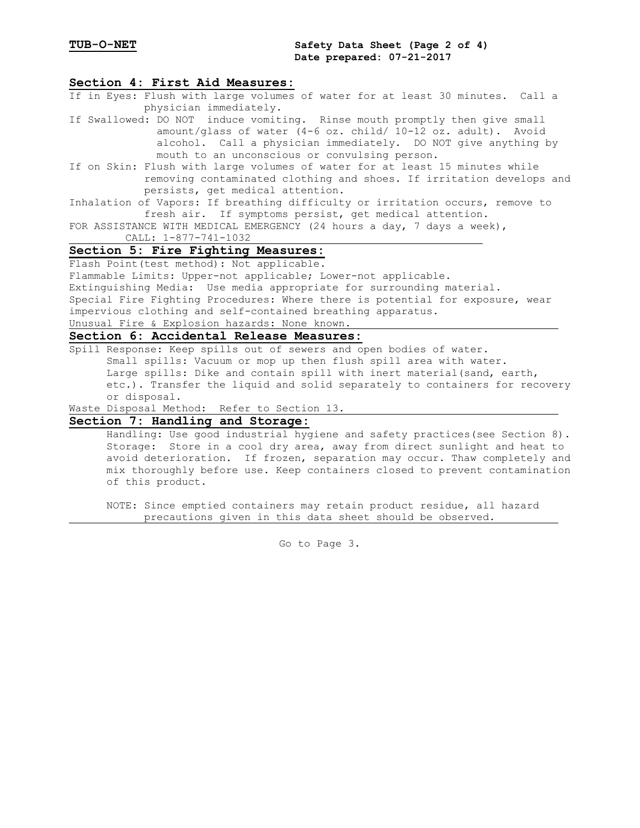### **Section 4: First Aid Measures:**

- If in Eyes: Flush with large volumes of water for at least 30 minutes. Call a physician immediately.
- If Swallowed: DO NOT induce vomiting. Rinse mouth promptly then give small amount/glass of water (4-6 oz. child/ 10-12 oz. adult). Avoid alcohol. Call a physician immediately. DO NOT give anything by mouth to an unconscious or convulsing person.
- If on Skin: Flush with large volumes of water for at least 15 minutes while removing contaminated clothing and shoes. If irritation develops and persists, get medical attention.
- Inhalation of Vapors: If breathing difficulty or irritation occurs, remove to fresh air. If symptoms persist, get medical attention.
- FOR ASSISTANCE WITH MEDICAL EMERGENCY (24 hours a day, 7 days a week), CALL: 1-877-741-1032

### **Section 5: Fire Fighting Measures:**

Flash Point(test method): Not applicable.

Flammable Limits: Upper-not applicable; Lower-not applicable.

Extinguishing Media: Use media appropriate for surrounding material.

Special Fire Fighting Procedures: Where there is potential for exposure, wear impervious clothing and self-contained breathing apparatus.

### Unusual Fire & Explosion hazards: None known.

## **Section 6: Accidental Release Measures:**

Spill Response: Keep spills out of sewers and open bodies of water. Small spills: Vacuum or mop up then flush spill area with water. Large spills: Dike and contain spill with inert material(sand, earth, etc.). Transfer the liquid and solid separately to containers for recovery or disposal.

Waste Disposal Method: Refer to Section 13.

# **Section 7: Handling and Storage:**

Handling: Use good industrial hygiene and safety practices(see Section 8). Storage: Store in a cool dry area, away from direct sunlight and heat to avoid deterioration. If frozen, separation may occur. Thaw completely and mix thoroughly before use. Keep containers closed to prevent contamination of this product.

NOTE: Since emptied containers may retain product residue, all hazard precautions given in this data sheet should be observed.

Go to Page 3.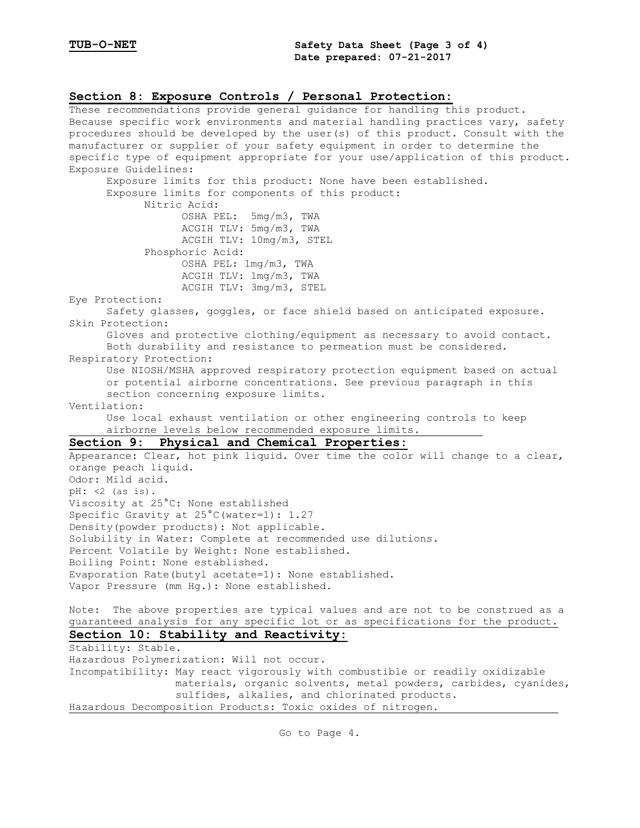### **Section 8: Exposure Controls / Personal Protection:** These recommendations provide general guidance for handling this product.

Because specific work environments and material handling practices vary, safety procedures should be developed by the user(s) of this product. Consult with the manufacturer or supplier of your safety equipment in order to determine the specific type of equipment appropriate for your use/application of this product. Exposure Guidelines: Exposure limits for this product: None have been established. Exposure limits for components of this product: Nitric Acid: OSHA PEL: 5mg/m3, TWA ACGIH TLV: 5mg/m3, TWA ACGIH TLV: 10mg/m3, STEL Phosphoric Acid: OSHA PEL: 1mg/m3, TWA ACGIH TLV: 1mg/m3, TWA ACGIH TLV: 3mg/m3, STEL Eye Protection: Safety glasses, goggles, or face shield based on anticipated exposure. Skin Protection: Gloves and protective clothing/equipment as necessary to avoid contact. Both durability and resistance to permeation must be considered. Respiratory Protection: Use NIOSH/MSHA approved respiratory protection equipment based on actual or potential airborne concentrations. See previous paragraph in this section concerning exposure limits. Ventilation: Use local exhaust ventilation or other engineering controls to keep airborne levels below recommended exposure limits. **Section 9: Physical and Chemical Properties:** Appearance: Clear, hot pink liquid. Over time the color will change to a clear, orange peach liquid. Odor: Mild acid. pH: <2 (as is). Viscosity at 25°C: None established Specific Gravity at  $25^{\circ}$ C(water=1): 1.27 Density(powder products): Not applicable. Solubility in Water: Complete at recommended use dilutions. Percent Volatile by Weight: None established. Boiling Point: None established. Evaporation Rate(butyl acetate=1): None established. Vapor Pressure (mm Hg.): None established. Note: The above properties are typical values and are not to be construed as a guaranteed analysis for any specific lot or as specifications for the product. **Section 10: Stability and Reactivity:** Stability: Stable. Hazardous Polymerization: Will not occur. Incompatibility: May react vigorously with combustible or readily oxidizable materials, organic solvents, metal powders, carbides, cyanides, sulfides, alkalies, and chlorinated products. Hazardous Decomposition Products: Toxic oxides of nitrogen.